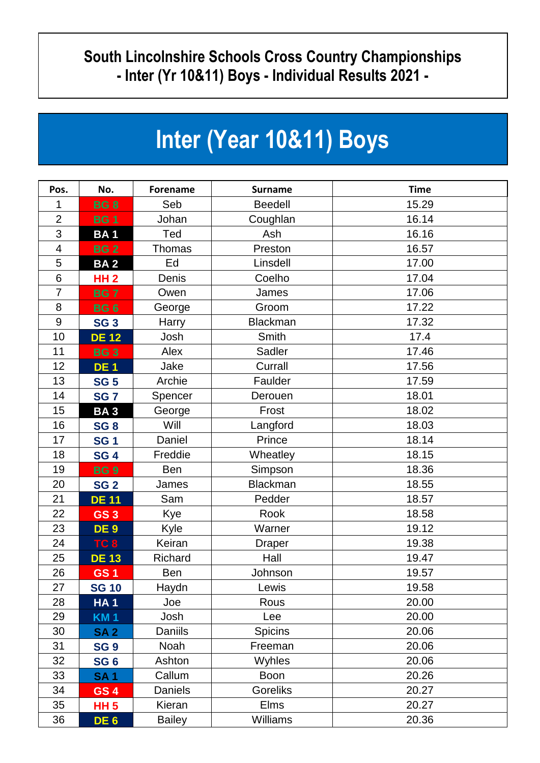## **South Lincolnshire Schools Cross Country Championships - Inter (Yr 10&11) Boys - Individual Results 2021 -**

## **Inter (Year 10&11) Boys**

| Pos.           | No.             | <b>Forename</b> | <b>Surname</b>  | <b>Time</b> |
|----------------|-----------------|-----------------|-----------------|-------------|
| 1              | <b>BG8</b>      | Seb             | <b>Beedell</b>  | 15.29       |
| $\overline{2}$ | <b>BG1</b>      | Johan           | Coughlan        | 16.14       |
| 3              | <b>BA1</b>      | Ted             | Ash             | 16.16       |
| 4              | <b>BG2</b>      | Thomas          | Preston         | 16.57       |
| 5              | <b>BA2</b>      | Ed              | Linsdell        | 17.00       |
| 6              | <b>HH2</b>      | Denis           | Coelho          | 17.04       |
| 7              | <b>BG7</b>      | Owen            | James           | 17.06       |
| 8              | <b>BG6</b>      | George          | Groom           | 17.22       |
| $9\,$          | <b>SG 3</b>     | Harry           | <b>Blackman</b> | 17.32       |
| 10             | <b>DE 12</b>    | Josh            | Smith           | 17.4        |
| 11             | <b>BG3</b>      | Alex            | Sadler          | 17.46       |
| 12             | <b>DE1</b>      | Jake            | Currall         | 17.56       |
| 13             | <b>SG 5</b>     | Archie          | Faulder         | 17.59       |
| 14             | <b>SG7</b>      | Spencer         | Derouen         | 18.01       |
| 15             | <b>BA3</b>      | George          | Frost           | 18.02       |
| 16             | <b>SG 8</b>     | Will            | Langford        | 18.03       |
| 17             | <b>SG1</b>      | Daniel          | Prince          | 18.14       |
| 18             | <b>SG 4</b>     | Freddie         | Wheatley        | 18.15       |
| 19             | <b>BG9</b>      | Ben             | Simpson         | 18.36       |
| 20             | <b>SG 2</b>     | James           | <b>Blackman</b> | 18.55       |
| 21             | <b>DE 11</b>    | Sam             | Pedder          | 18.57       |
| 22             | GS <sub>3</sub> | Kye             | Rook            | 18.58       |
| 23             | DE <sub>9</sub> | Kyle            | Warner          | 19.12       |
| 24             | TC <sub>8</sub> | Keiran          | <b>Draper</b>   | 19.38       |
| 25             | <b>DE 13</b>    | Richard         | Hall            | 19.47       |
| 26             | <b>GS1</b>      | <b>Ben</b>      | Johnson         | 19.57       |
| 27             | <b>SG 10</b>    | Haydn           | Lewis           | 19.58       |
| 28             | <b>HA1</b>      | Joe             | Rous            | 20.00       |
| 29             | <b>KM1</b>      | Josh            | Lee             | 20.00       |
| 30             | <b>SA2</b>      | <b>Daniils</b>  | <b>Spicins</b>  | 20.06       |
| 31             | <b>SG 9</b>     | Noah            | Freeman         | 20.06       |
| 32             | SG <sub>6</sub> | Ashton          | Wyhles          | 20.06       |
| 33             | <b>SA1</b>      | Callum          | <b>Boon</b>     | 20.26       |
| 34             | <b>GS4</b>      | <b>Daniels</b>  | <b>Goreliks</b> | 20.27       |
| 35             | <b>HH 5</b>     | Kieran          | Elms            | 20.27       |
| 36             | DE <sub>6</sub> | <b>Bailey</b>   | <b>Williams</b> | 20.36       |